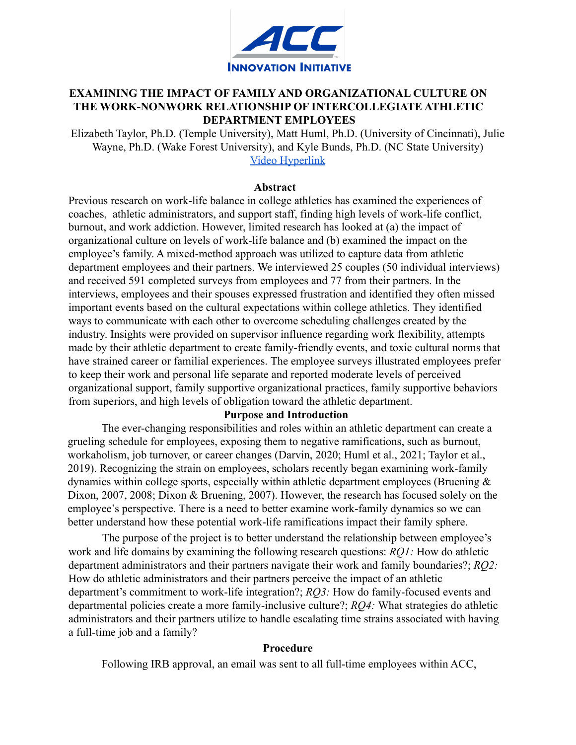

# **EXAMINING THE IMPACT OF FAMILY AND ORGANIZATIONAL CULTURE ON THE WORK-NONWORK RELATIONSHIP OF INTERCOLLEGIATE ATHLETIC DEPARTMENT EMPLOYEES**

Elizabeth Taylor, Ph.D. (Temple University), Matt Huml, Ph.D. (University of Cincinnati), Julie Wayne, Ph.D. (Wake Forest University), and Kyle Bunds, Ph.D. (NC State University) [Video Hyperlink](https://youtu.be/Dsodwqk7fhs)

#### **Abstract**

Previous research on work-life balance in college athletics has examined the experiences of coaches, athletic administrators, and support staff, finding high levels of work-life conflict, burnout, and work addiction. However, limited research has looked at (a) the impact of organizational culture on levels of work-life balance and (b) examined the impact on the employee's family. A mixed-method approach was utilized to capture data from athletic department employees and their partners. We interviewed 25 couples (50 individual interviews) and received 591 completed surveys from employees and 77 from their partners. In the interviews, employees and their spouses expressed frustration and identified they often missed important events based on the cultural expectations within college athletics. They identified ways to communicate with each other to overcome scheduling challenges created by the industry. Insights were provided on supervisor influence regarding work flexibility, attempts made by their athletic department to create family-friendly events, and toxic cultural norms that have strained career or familial experiences. The employee surveys illustrated employees prefer to keep their work and personal life separate and reported moderate levels of perceived organizational support, family supportive organizational practices, family supportive behaviors from superiors, and high levels of obligation toward the athletic department.

## **Purpose and Introduction**

The ever-changing responsibilities and roles within an athletic department can create a grueling schedule for employees, exposing them to negative ramifications, such as burnout, workaholism, job turnover, or career changes (Darvin, 2020; Huml et al., 2021; Taylor et al., 2019). Recognizing the strain on employees, scholars recently began examining work-family dynamics within college sports, especially within athletic department employees (Bruening & Dixon, 2007, 2008; Dixon & Bruening, 2007). However, the research has focused solely on the employee's perspective. There is a need to better examine work-family dynamics so we can better understand how these potential work-life ramifications impact their family sphere.

The purpose of the project is to better understand the relationship between employee's work and life domains by examining the following research questions: *RQ1:* How do athletic department administrators and their partners navigate their work and family boundaries?; *RQ2:* How do athletic administrators and their partners perceive the impact of an athletic department's commitment to work-life integration?; *RQ3:* How do family-focused events and departmental policies create a more family-inclusive culture?; *RQ4:* What strategies do athletic administrators and their partners utilize to handle escalating time strains associated with having a full-time job and a family?

### **Procedure**

Following IRB approval, an email was sent to all full-time employees within ACC,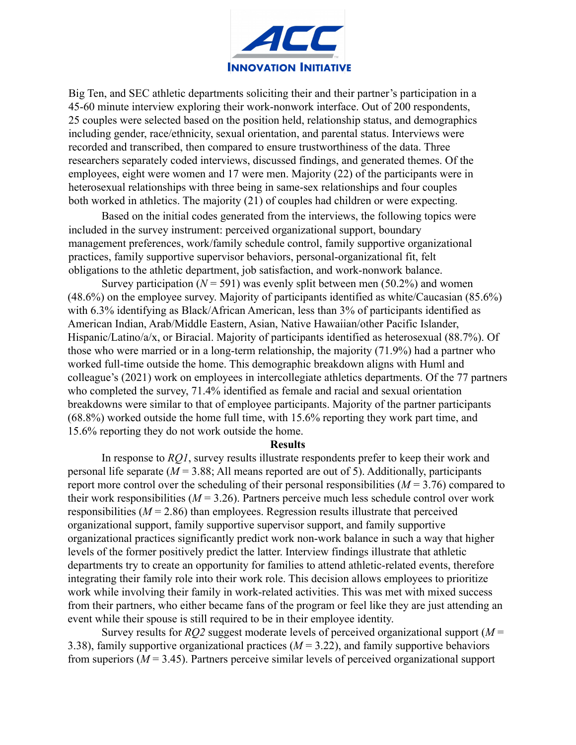

Big Ten, and SEC athletic departments soliciting their and their partner's participation in a 45-60 minute interview exploring their work-nonwork interface. Out of 200 respondents, 25 couples were selected based on the position held, relationship status, and demographics including gender, race/ethnicity, sexual orientation, and parental status. Interviews were recorded and transcribed, then compared to ensure trustworthiness of the data. Three researchers separately coded interviews, discussed findings, and generated themes. Of the employees, eight were women and 17 were men. Majority (22) of the participants were in heterosexual relationships with three being in same-sex relationships and four couples both worked in athletics. The majority (21) of couples had children or were expecting.

Based on the initial codes generated from the interviews, the following topics were included in the survey instrument: perceived organizational support, boundary management preferences, work/family schedule control, family supportive organizational practices, family supportive supervisor behaviors, personal-organizational fit, felt obligations to the athletic department, job satisfaction, and work-nonwork balance.

Survey participation ( $N = 591$ ) was evenly split between men (50.2%) and women (48.6%) on the employee survey. Majority of participants identified as white/Caucasian (85.6%) with 6.3% identifying as Black/African American, less than 3% of participants identified as American Indian, Arab/Middle Eastern, Asian, Native Hawaiian/other Pacific Islander, Hispanic/Latino/a/x, or Biracial. Majority of participants identified as heterosexual (88.7%). Of those who were married or in a long-term relationship, the majority (71.9%) had a partner who worked full-time outside the home. This demographic breakdown aligns with Huml and colleague's (2021) work on employees in intercollegiate athletics departments. Of the 77 partners who completed the survey, 71.4% identified as female and racial and sexual orientation breakdowns were similar to that of employee participants. Majority of the partner participants (68.8%) worked outside the home full time, with 15.6% reporting they work part time, and 15.6% reporting they do not work outside the home.

#### **Results**

In response to *RQ1*, survey results illustrate respondents prefer to keep their work and personal life separate  $(M = 3.88;$  All means reported are out of 5). Additionally, participants report more control over the scheduling of their personal responsibilities (*M* = 3.76) compared to their work responsibilities  $(M = 3.26)$ . Partners perceive much less schedule control over work responsibilities  $(M = 2.86)$  than employees. Regression results illustrate that perceived organizational support, family supportive supervisor support, and family supportive organizational practices significantly predict work non-work balance in such a way that higher levels of the former positively predict the latter. Interview findings illustrate that athletic departments try to create an opportunity for families to attend athletic-related events, therefore integrating their family role into their work role. This decision allows employees to prioritize work while involving their family in work-related activities. This was met with mixed success from their partners, who either became fans of the program or feel like they are just attending an event while their spouse is still required to be in their employee identity.

Survey results for  $RO2$  suggest moderate levels of perceived organizational support ( $M =$ 3.38), family supportive organizational practices (*M* = 3.22), and family supportive behaviors from superiors (*M* = 3.45). Partners perceive similar levels of perceived organizational support